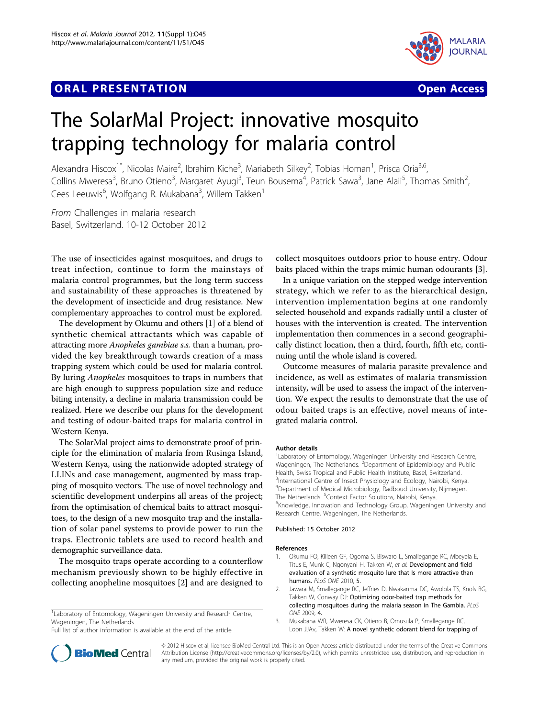## **ORAL PRESENTATION CONSUMING ACCESS**





# The SolarMal Project: innovative mosquito trapping technology for malaria control

Alexandra Hiscox<sup>1\*</sup>, Nicolas Maire<sup>2</sup>, Ibrahim Kiche<sup>3</sup>, Mariabeth Silkey<sup>2</sup>, Tobias Homan<sup>1</sup>, Prisca Oria<sup>3,6</sup>, Collins Mweresa<sup>3</sup>, Bruno Otieno<sup>3</sup>, Margaret Ayugi<sup>3</sup>, Teun Bousema<sup>4</sup>, Patrick Sawa<sup>3</sup>, Jane Alaii<sup>5</sup>, Thomas Smith<sup>2</sup> , Cees Leeuwis<sup>6</sup>, Wolfgang R. Mukabana<sup>3</sup>, Willem Takken<sup>1</sup>

From Challenges in malaria research Basel, Switzerland. 10-12 October 2012

The use of insecticides against mosquitoes, and drugs to treat infection, continue to form the mainstays of malaria control programmes, but the long term success and sustainability of these approaches is threatened by the development of insecticide and drug resistance. New complementary approaches to control must be explored.

The development by Okumu and others [1] of a blend of synthetic chemical attractants which was capable of attracting more Anopheles gambiae s.s. than a human, provided the key breakthrough towards creation of a mass trapping system which could be used for malaria control. By luring *Anopheles* mosquitoes to traps in numbers that are high enough to suppress population size and reduce biting intensity, a decline in malaria transmission could be realized. Here we describe our plans for the development and testing of odour-baited traps for malaria control in Western Kenya.

The SolarMal project aims to demonstrate proof of principle for the elimination of malaria from Rusinga Island, Western Kenya, using the nationwide adopted strategy of LLINs and case management, augmented by mass trapping of mosquito vectors. The use of novel technology and scientific development underpins all areas of the project; from the optimisation of chemical baits to attract mosquitoes, to the design of a new mosquito trap and the installation of solar panel systems to provide power to run the traps. Electronic tablets are used to record health and demographic surveillance data.

The mosquito traps operate according to a counterflow mechanism previously shown to be highly effective in collecting anopheline mosquitoes [2] and are designed to

<sup>1</sup> Laboratory of Entomology, Wageningen University and Research Centre, Wageningen, The Netherlands

Full list of author information is available at the end of the article

collect mosquitoes outdoors prior to house entry. Odour baits placed within the traps mimic human odourants [3].

In a unique variation on the stepped wedge intervention strategy, which we refer to as the hierarchical design, intervention implementation begins at one randomly selected household and expands radially until a cluster of houses with the intervention is created. The intervention implementation then commences in a second geographically distinct location, then a third, fourth, fifth etc, continuing until the whole island is covered.

Outcome measures of malaria parasite prevalence and incidence, as well as estimates of malaria transmission intensity, will be used to assess the impact of the intervention. We expect the results to demonstrate that the use of odour baited traps is an effective, novel means of integrated malaria control.

#### Author details

<sup>1</sup> Laboratory of Entomology, Wageningen University and Research Centre, Wageningen, The Netherlands. <sup>2</sup>Department of Epidemiology and Public Health, Swiss Tropical and Public Health Institute, Basel, Switzerland. <sup>3</sup>International Centre of Insect Physiology and Ecology, Nairobi, Kenya. 4 Department of Medical Microbiology, Radboud University, Nijmegen, The Netherlands. <sup>5</sup>Context Factor Solutions, Nairobi, Kenya.<br><sup>6</sup>Knowledge, Innovation and Technology Group Wagoning <sup>6</sup>Knowledge, Innovation and Technology Group, Wageningen University and Research Centre, Wageningen, The Netherlands.

#### Published: 15 October 2012

#### References

- 1. Okumu FO, Killeen GF, Ogoma S, Biswaro L, Smallegange RC, Mbeyela E, Titus E, Munk C, Ngonyani H, Takken W, et al: Development and field evaluation of a synthetic mosquito lure that Is more attractive than humans. PLoS ONE 2010, 5.
- 2. Jawara M, Smallegange RC, Jeffries D, Nwakanma DC, Awolola TS, Knols BG, Takken W, Conway DJ: Optimizing odor-baited trap methods for collecting mosquitoes during the malaria season in The Gambia. PLoS ONE 2009, 4.
- 3. Mukabana WR, Mweresa CK, Otieno B, Omusula P, Smallegange RC, Loon JJAv, Takken W: A novel synthetic odorant blend for trapping of



© 2012 Hiscox et al; licensee BioMed Central Ltd. This is an Open Access article distributed under the terms of the Creative Commons Attribution License [\(http://creativecommons.org/licenses/by/2.0](http://creativecommons.org/licenses/by/2.0)), which permits unrestricted use, distribution, and reproduction in any medium, provided the original work is properly cited.